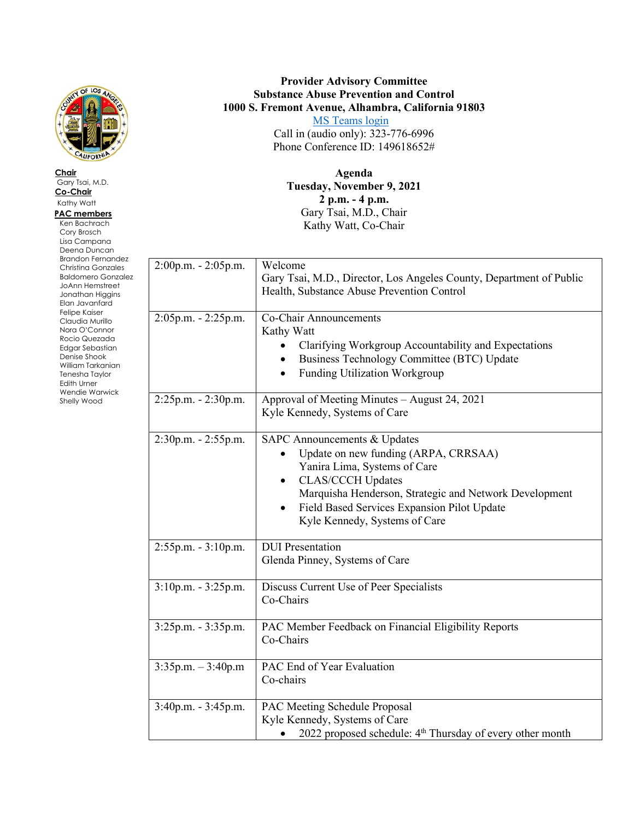

**Chair** Gary Tsai, M.D. **Co-Chair** Kathy Watt  **PAC members** Ken Bachrach Cory Brosch Lisa Campana Deena Duncan Brandon Fernandez Christina Gonzales Baldomero Gonzalez JoAnn Hemstreet Jonathan Higgins Elan Javanfard Felipe Kaiser Claudia Murillo Nora O'Connor Rocio Quezada Edgar Sebastian Denise Shook William Tarkanian Tenesha Taylor Edith Urner Wendie Warwick Shelly Wood

## **Provider Advisory Committee Substance Abuse Prevention and Control 1000 S. Fremont Avenue, Alhambra, California 91803**

 [MS Teams login](https://teams.microsoft.com/l/meetup-join/19%3ameeting_YzZiZjI1ZjEtZGYwNy00ZjhlLWFjN2MtMGYzY2IyZWUxY2Iy%40thread.v2/0?context=%7b%22Tid%22%3a%2207597248-ea38-451b-8abe-a638eddbac81%22%2c%22Oid%22%3a%2244512b9b-139a-4e37-b3b1-177421222fe4%22%7d) Call in (audio only): 323-776-6996 Phone Conference ID: 149618652#

**Agenda Tuesday, November 9, 2021 2 p.m. - 4 p.m.** Gary Tsai, M.D., Chair Kathy Watt, Co-Chair

| 2:00p.m. - 2:05p.m.  | Welcome<br>Gary Tsai, M.D., Director, Los Angeles County, Department of Public<br>Health, Substance Abuse Prevention Control                                                                                                                                                                                    |
|----------------------|-----------------------------------------------------------------------------------------------------------------------------------------------------------------------------------------------------------------------------------------------------------------------------------------------------------------|
| 2:05p.m. - 2:25p.m.  | Co-Chair Announcements<br>Kathy Watt<br>Clarifying Workgroup Accountability and Expectations<br>Business Technology Committee (BTC) Update<br>Funding Utilization Workgroup<br>$\bullet$                                                                                                                        |
| 2:25p.m. - 2:30p.m.  | Approval of Meeting Minutes - August 24, 2021<br>Kyle Kennedy, Systems of Care                                                                                                                                                                                                                                  |
| 2:30p.m. - 2:55p.m.  | <b>SAPC Announcements &amp; Updates</b><br>Update on new funding (ARPA, CRRSAA)<br>Yanira Lima, Systems of Care<br><b>CLAS/CCCH Updates</b><br>$\bullet$<br>Marquisha Henderson, Strategic and Network Development<br>Field Based Services Expansion Pilot Update<br>$\bullet$<br>Kyle Kennedy, Systems of Care |
| 2:55p.m. - 3:10p.m.  | <b>DUI</b> Presentation<br>Glenda Pinney, Systems of Care                                                                                                                                                                                                                                                       |
| 3:10p.m. - 3:25p.m.  | Discuss Current Use of Peer Specialists<br>Co-Chairs                                                                                                                                                                                                                                                            |
| 3:25p.m. - 3:35p.m.  | PAC Member Feedback on Financial Eligibility Reports<br>Co-Chairs                                                                                                                                                                                                                                               |
| $3:35p.m. - 3:40p.m$ | PAC End of Year Evaluation<br>Co-chairs                                                                                                                                                                                                                                                                         |
| 3:40p.m. - 3:45p.m.  | PAC Meeting Schedule Proposal<br>Kyle Kennedy, Systems of Care<br>2022 proposed schedule: 4 <sup>th</sup> Thursday of every other month                                                                                                                                                                         |